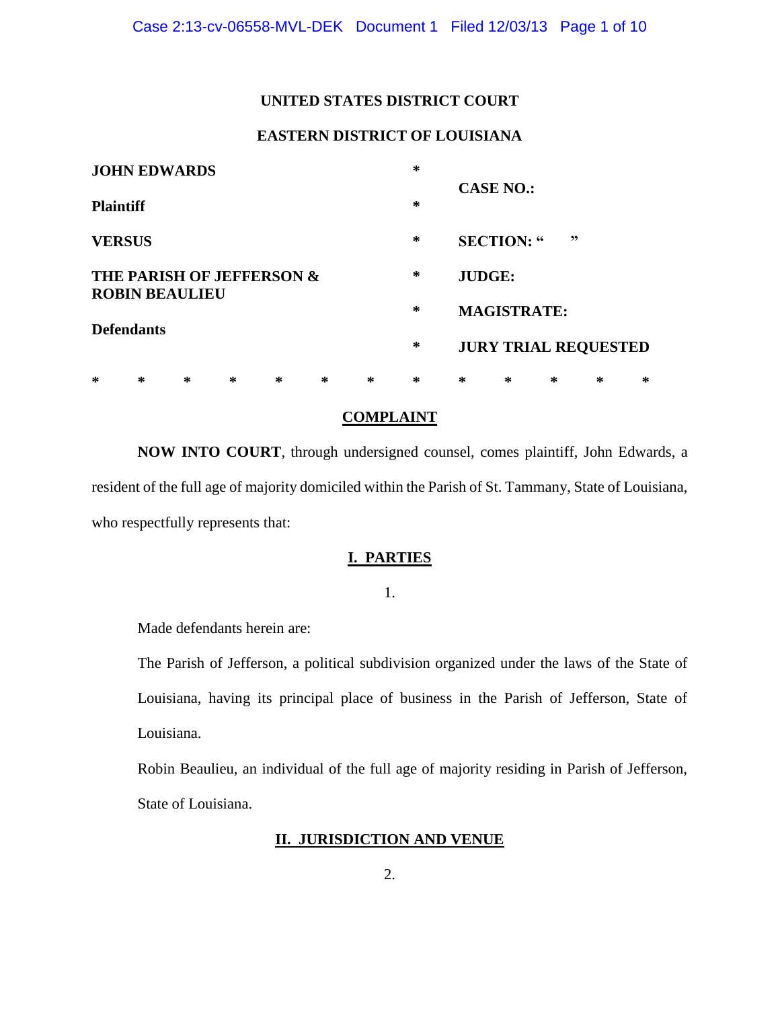# **UNITED STATES DISTRICT COURT**

# **EASTERN DISTRICT OF LOUISIANA**

|                                                    | <b>JOHN EDWARDS</b> |        |   |   |   |   | $\ast$                                                       |   |                    |   |                             |   |
|----------------------------------------------------|---------------------|--------|---|---|---|---|--------------------------------------------------------------|---|--------------------|---|-----------------------------|---|
| <b>Plaintiff</b><br><b>VERSUS</b>                  |                     |        |   |   |   | ∗ | <b>CASE NO.:</b><br>,,<br><b>SECTION: "</b><br><b>JUDGE:</b> |   |                    |   |                             |   |
|                                                    |                     |        |   |   |   | ∗ |                                                              |   |                    |   |                             |   |
| THE PARISH OF JEFFERSON &<br><b>ROBIN BEAULIEU</b> |                     |        |   |   | ∗ |   |                                                              |   |                    |   |                             |   |
|                                                    |                     |        |   |   |   |   | ∗                                                            |   | <b>MAGISTRATE:</b> |   |                             |   |
|                                                    | <b>Defendants</b>   |        |   |   |   |   | ∗                                                            |   |                    |   | <b>JURY TRIAL REQUESTED</b> |   |
| ∗                                                  | ∗                   | $\ast$ | ∗ | ∗ | ∗ | ∗ | ∗                                                            | ∗ | ∗                  | ∗ | ∗                           | ∗ |

### **COMPLAINT**

**NOW INTO COURT**, through undersigned counsel, comes plaintiff, John Edwards, a resident of the full age of majority domiciled within the Parish of St. Tammany, State of Louisiana, who respectfully represents that:

# **I. PARTIES**

1.

Made defendants herein are:

The Parish of Jefferson, a political subdivision organized under the laws of the State of Louisiana, having its principal place of business in the Parish of Jefferson, State of Louisiana.

Robin Beaulieu, an individual of the full age of majority residing in Parish of Jefferson, State of Louisiana.

# **II. JURISDICTION AND VENUE**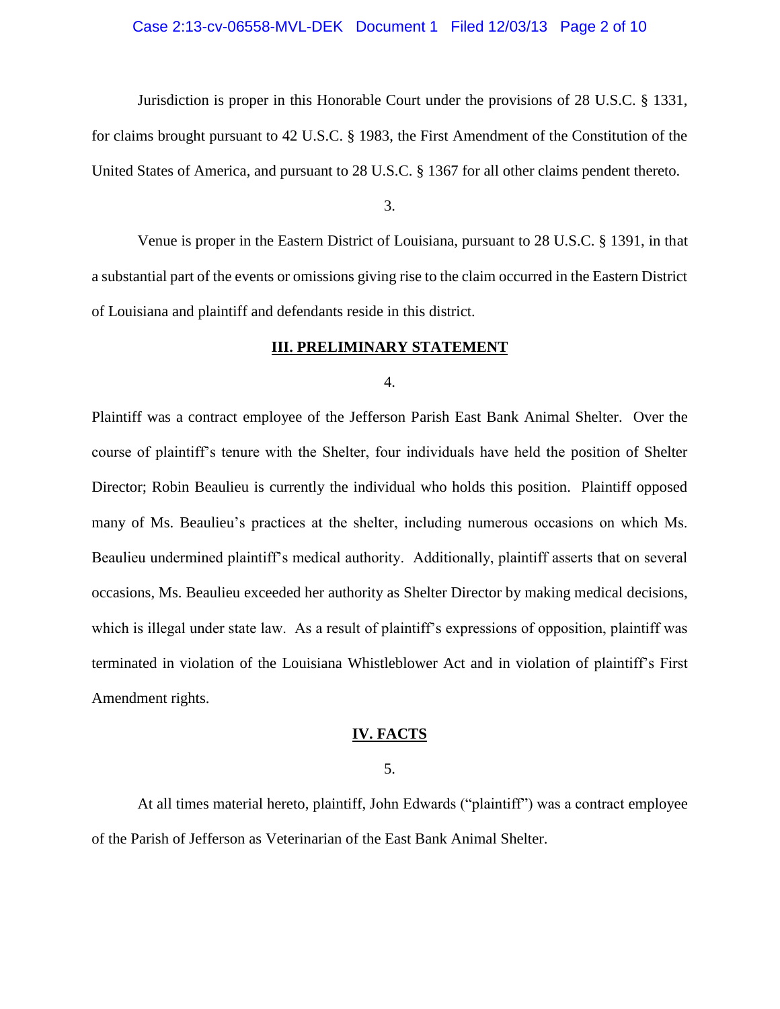## Case 2:13-cv-06558-MVL-DEK Document 1 Filed 12/03/13 Page 2 of 10

Jurisdiction is proper in this Honorable Court under the provisions of 28 U.S.C. § 1331, for claims brought pursuant to 42 U.S.C. § 1983, the First Amendment of the Constitution of the United States of America, and pursuant to 28 U.S.C. § 1367 for all other claims pendent thereto.

Venue is proper in the Eastern District of Louisiana, pursuant to 28 U.S.C. § 1391, in that a substantial part of the events or omissions giving rise to the claim occurred in the Eastern District of Louisiana and plaintiff and defendants reside in this district.

## **III. PRELIMINARY STATEMENT**

4.

Plaintiff was a contract employee of the Jefferson Parish East Bank Animal Shelter. Over the course of plaintiff's tenure with the Shelter, four individuals have held the position of Shelter Director; Robin Beaulieu is currently the individual who holds this position. Plaintiff opposed many of Ms. Beaulieu's practices at the shelter, including numerous occasions on which Ms. Beaulieu undermined plaintiff's medical authority. Additionally, plaintiff asserts that on several occasions, Ms. Beaulieu exceeded her authority as Shelter Director by making medical decisions, which is illegal under state law. As a result of plaintiff's expressions of opposition, plaintiff was terminated in violation of the Louisiana Whistleblower Act and in violation of plaintiff's First Amendment rights.

## **IV. FACTS**

5.

At all times material hereto, plaintiff, John Edwards ("plaintiff") was a contract employee of the Parish of Jefferson as Veterinarian of the East Bank Animal Shelter.

<sup>3.</sup>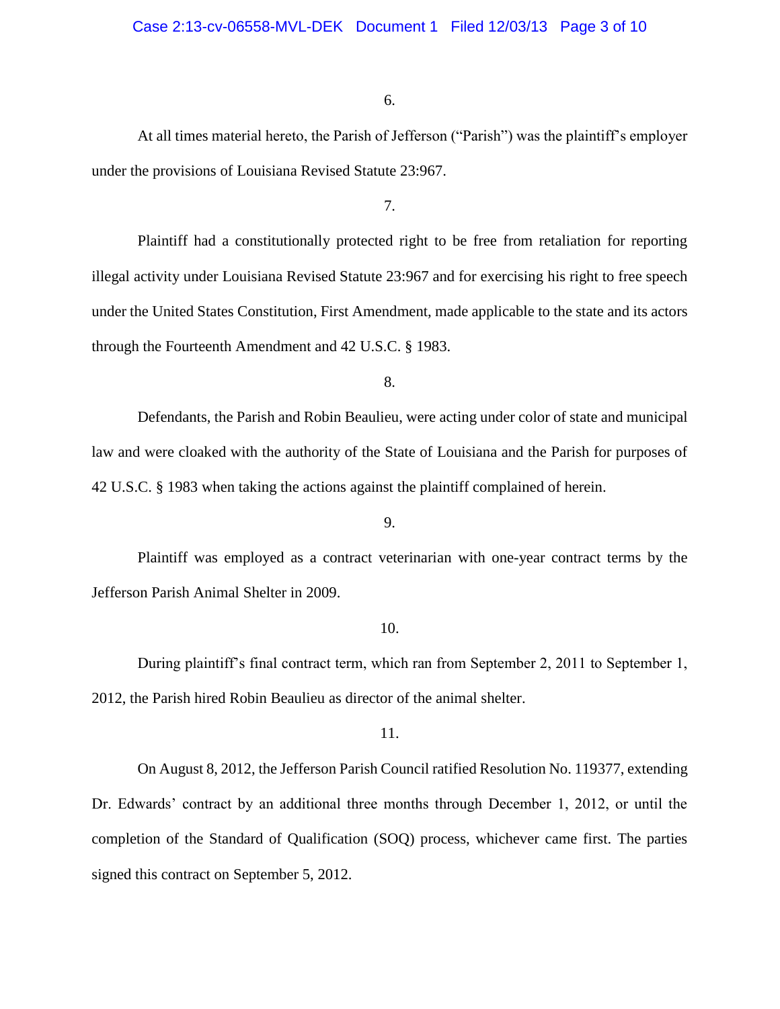At all times material hereto, the Parish of Jefferson ("Parish") was the plaintiff's employer under the provisions of Louisiana Revised Statute 23:967.

7.

Plaintiff had a constitutionally protected right to be free from retaliation for reporting illegal activity under Louisiana Revised Statute 23:967 and for exercising his right to free speech under the United States Constitution, First Amendment, made applicable to the state and its actors through the Fourteenth Amendment and 42 U.S.C. § 1983.

8.

Defendants, the Parish and Robin Beaulieu, were acting under color of state and municipal law and were cloaked with the authority of the State of Louisiana and the Parish for purposes of 42 U.S.C. § 1983 when taking the actions against the plaintiff complained of herein.

9.

Plaintiff was employed as a contract veterinarian with one-year contract terms by the Jefferson Parish Animal Shelter in 2009.

## 10.

During plaintiff's final contract term, which ran from September 2, 2011 to September 1, 2012, the Parish hired Robin Beaulieu as director of the animal shelter.

11.

On August 8, 2012, the Jefferson Parish Council ratified Resolution No. 119377, extending Dr. Edwards' contract by an additional three months through December 1, 2012, or until the completion of the Standard of Qualification (SOQ) process, whichever came first. The parties signed this contract on September 5, 2012.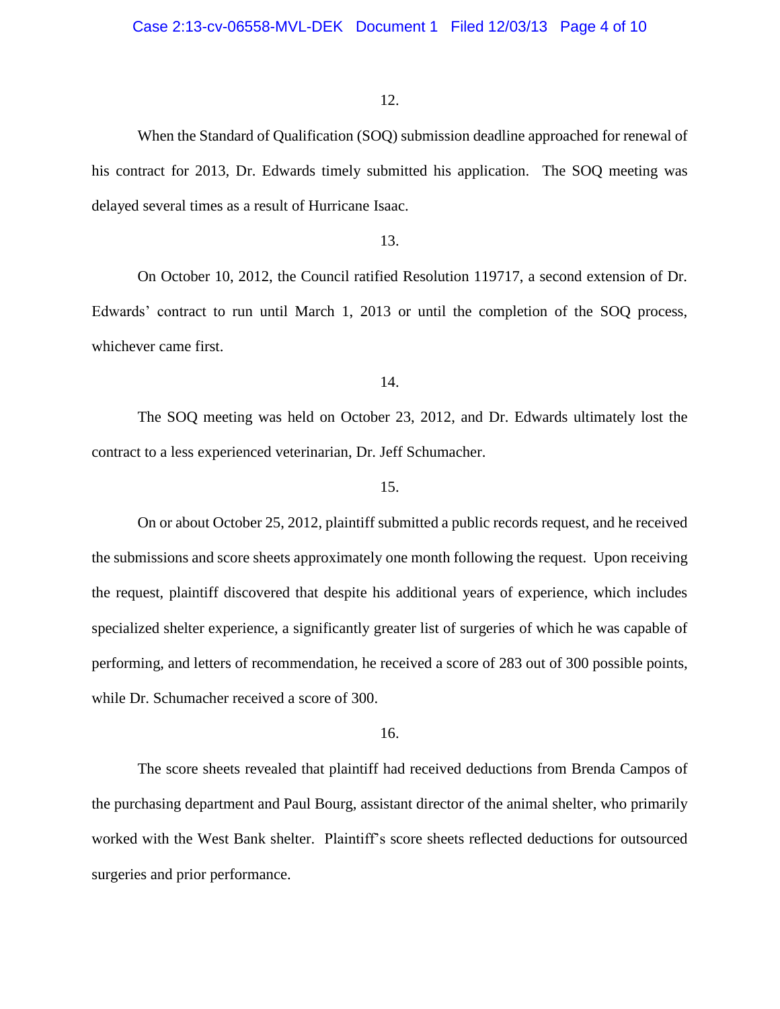When the Standard of Qualification (SOQ) submission deadline approached for renewal of his contract for 2013, Dr. Edwards timely submitted his application. The SOQ meeting was delayed several times as a result of Hurricane Isaac.

## 13.

On October 10, 2012, the Council ratified Resolution 119717, a second extension of Dr. Edwards' contract to run until March 1, 2013 or until the completion of the SOQ process, whichever came first.

## 14.

The SOQ meeting was held on October 23, 2012, and Dr. Edwards ultimately lost the contract to a less experienced veterinarian, Dr. Jeff Schumacher.

## 15.

On or about October 25, 2012, plaintiff submitted a public records request, and he received the submissions and score sheets approximately one month following the request. Upon receiving the request, plaintiff discovered that despite his additional years of experience, which includes specialized shelter experience, a significantly greater list of surgeries of which he was capable of performing, and letters of recommendation, he received a score of 283 out of 300 possible points, while Dr. Schumacher received a score of 300.

#### 16.

The score sheets revealed that plaintiff had received deductions from Brenda Campos of the purchasing department and Paul Bourg, assistant director of the animal shelter, who primarily worked with the West Bank shelter. Plaintiff's score sheets reflected deductions for outsourced surgeries and prior performance.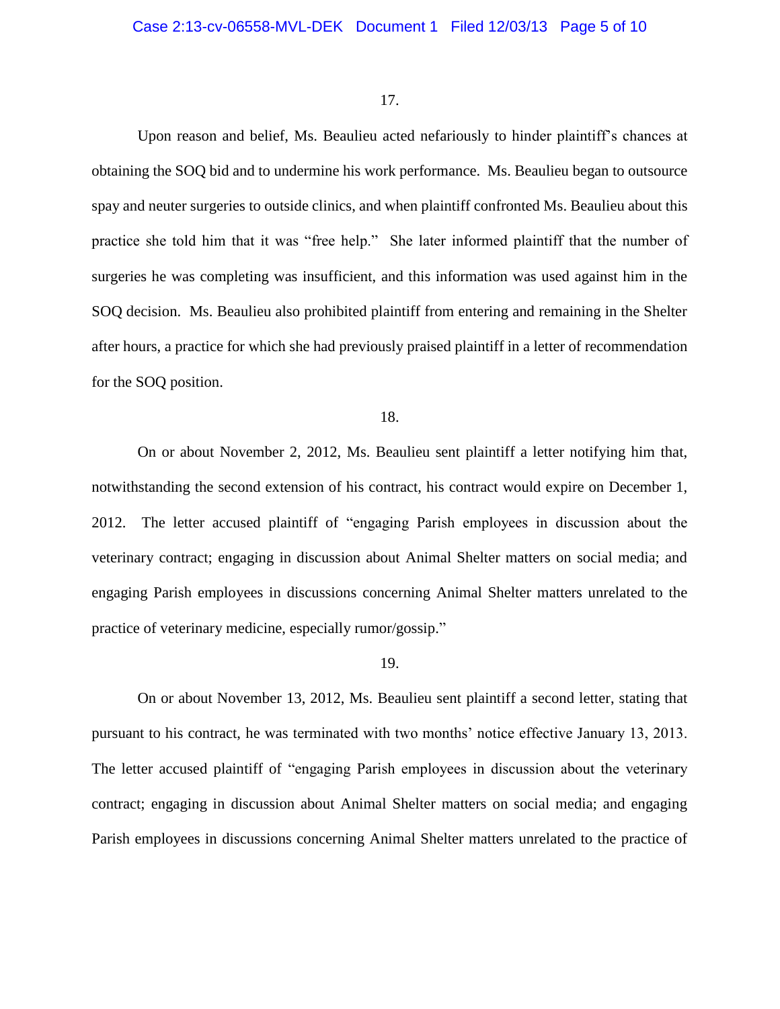Upon reason and belief, Ms. Beaulieu acted nefariously to hinder plaintiff's chances at obtaining the SOQ bid and to undermine his work performance. Ms. Beaulieu began to outsource spay and neuter surgeries to outside clinics, and when plaintiff confronted Ms. Beaulieu about this practice she told him that it was "free help." She later informed plaintiff that the number of surgeries he was completing was insufficient, and this information was used against him in the SOQ decision. Ms. Beaulieu also prohibited plaintiff from entering and remaining in the Shelter after hours, a practice for which she had previously praised plaintiff in a letter of recommendation for the SOQ position.

## 18.

On or about November 2, 2012, Ms. Beaulieu sent plaintiff a letter notifying him that, notwithstanding the second extension of his contract, his contract would expire on December 1, 2012. The letter accused plaintiff of "engaging Parish employees in discussion about the veterinary contract; engaging in discussion about Animal Shelter matters on social media; and engaging Parish employees in discussions concerning Animal Shelter matters unrelated to the practice of veterinary medicine, especially rumor/gossip."

#### 19.

On or about November 13, 2012, Ms. Beaulieu sent plaintiff a second letter, stating that pursuant to his contract, he was terminated with two months' notice effective January 13, 2013. The letter accused plaintiff of "engaging Parish employees in discussion about the veterinary contract; engaging in discussion about Animal Shelter matters on social media; and engaging Parish employees in discussions concerning Animal Shelter matters unrelated to the practice of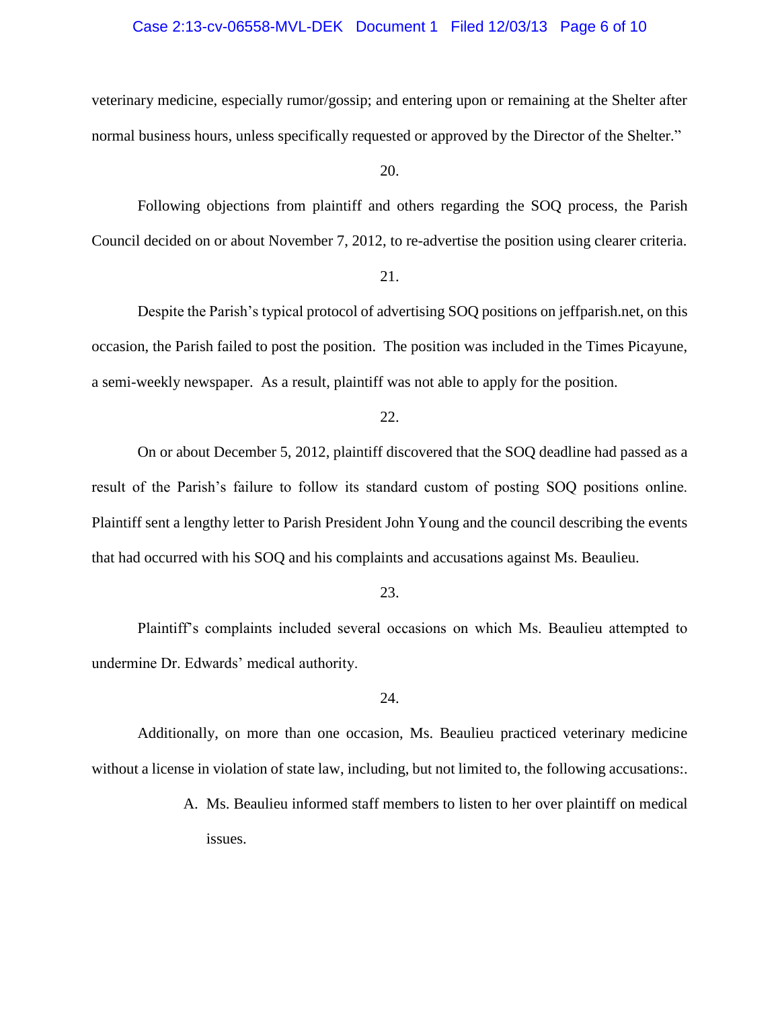## Case 2:13-cv-06558-MVL-DEK Document 1 Filed 12/03/13 Page 6 of 10

veterinary medicine, especially rumor/gossip; and entering upon or remaining at the Shelter after normal business hours, unless specifically requested or approved by the Director of the Shelter."

20.

Following objections from plaintiff and others regarding the SOQ process, the Parish Council decided on or about November 7, 2012, to re-advertise the position using clearer criteria.

#### 21.

Despite the Parish's typical protocol of advertising SOQ positions on jeffparish.net, on this occasion, the Parish failed to post the position. The position was included in the Times Picayune, a semi-weekly newspaper. As a result, plaintiff was not able to apply for the position.

# 22.

On or about December 5, 2012, plaintiff discovered that the SOQ deadline had passed as a result of the Parish's failure to follow its standard custom of posting SOQ positions online. Plaintiff sent a lengthy letter to Parish President John Young and the council describing the events that had occurred with his SOQ and his complaints and accusations against Ms. Beaulieu.

#### 23.

Plaintiff's complaints included several occasions on which Ms. Beaulieu attempted to undermine Dr. Edwards' medical authority.

#### 24.

Additionally, on more than one occasion, Ms. Beaulieu practiced veterinary medicine without a license in violation of state law, including, but not limited to, the following accusations:.

> A. Ms. Beaulieu informed staff members to listen to her over plaintiff on medical issues.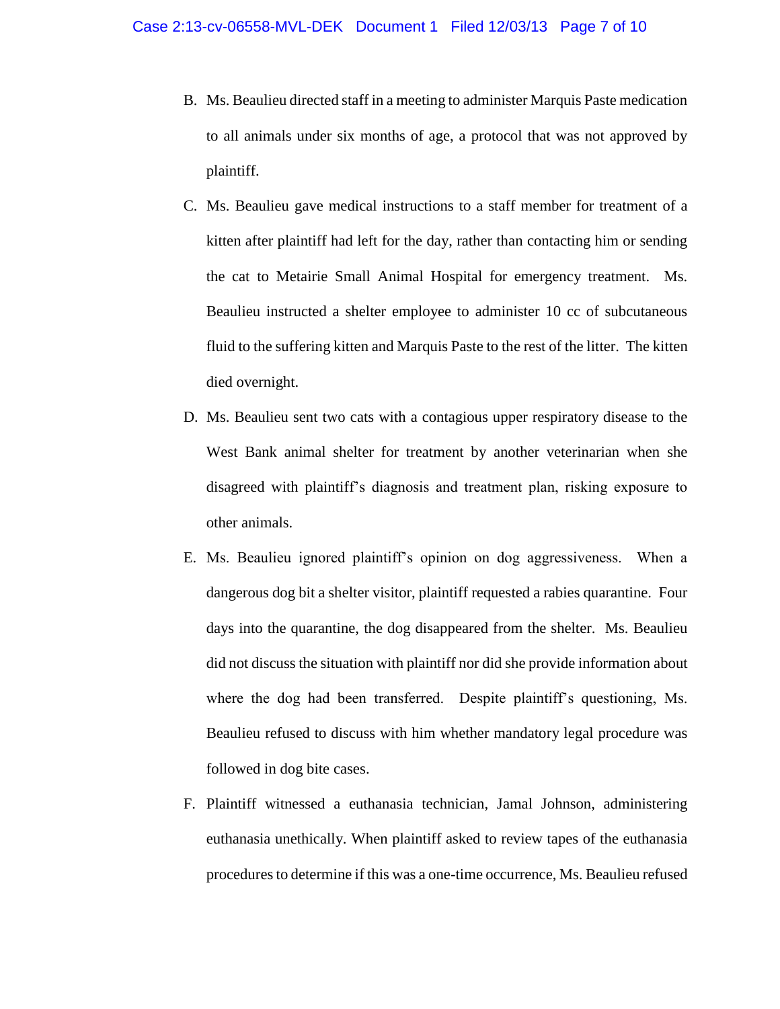- B. Ms. Beaulieu directed staff in a meeting to administer Marquis Paste medication to all animals under six months of age, a protocol that was not approved by plaintiff.
- C. Ms. Beaulieu gave medical instructions to a staff member for treatment of a kitten after plaintiff had left for the day, rather than contacting him or sending the cat to Metairie Small Animal Hospital for emergency treatment. Ms. Beaulieu instructed a shelter employee to administer 10 cc of subcutaneous fluid to the suffering kitten and Marquis Paste to the rest of the litter. The kitten died overnight.
- D. Ms. Beaulieu sent two cats with a contagious upper respiratory disease to the West Bank animal shelter for treatment by another veterinarian when she disagreed with plaintiff's diagnosis and treatment plan, risking exposure to other animals.
- E. Ms. Beaulieu ignored plaintiff's opinion on dog aggressiveness. When a dangerous dog bit a shelter visitor, plaintiff requested a rabies quarantine. Four days into the quarantine, the dog disappeared from the shelter. Ms. Beaulieu did not discuss the situation with plaintiff nor did she provide information about where the dog had been transferred. Despite plaintiff's questioning, Ms. Beaulieu refused to discuss with him whether mandatory legal procedure was followed in dog bite cases.
- F. Plaintiff witnessed a euthanasia technician, Jamal Johnson, administering euthanasia unethically. When plaintiff asked to review tapes of the euthanasia procedures to determine if this was a one-time occurrence, Ms. Beaulieu refused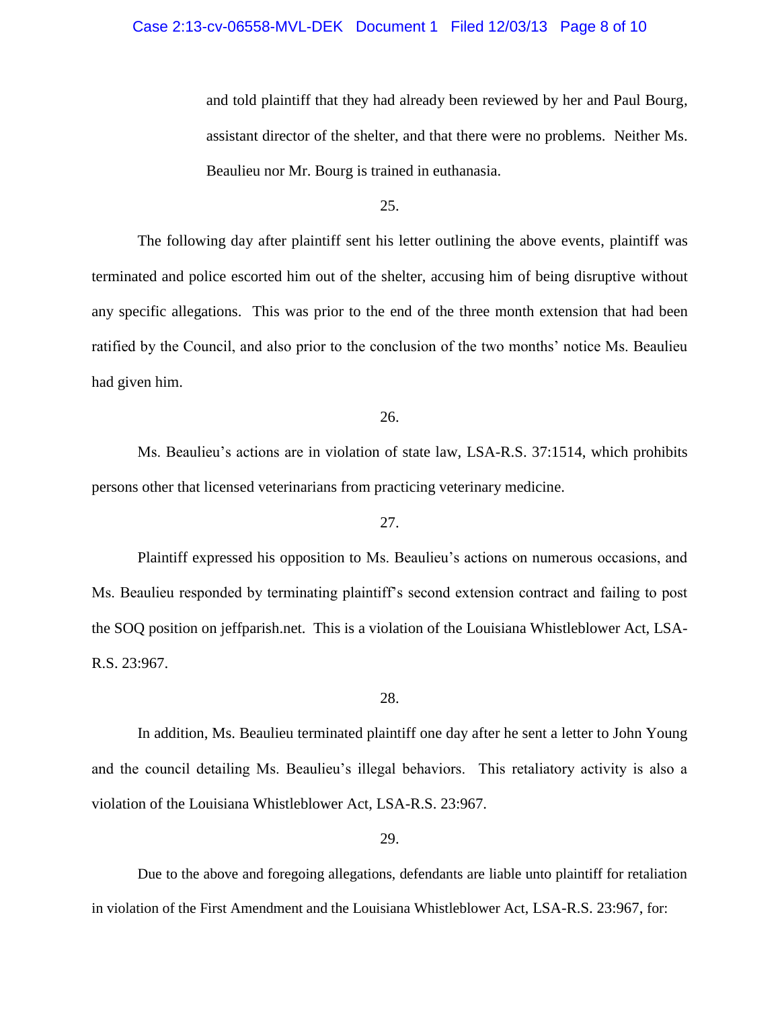## Case 2:13-cv-06558-MVL-DEK Document 1 Filed 12/03/13 Page 8 of 10

and told plaintiff that they had already been reviewed by her and Paul Bourg, assistant director of the shelter, and that there were no problems. Neither Ms. Beaulieu nor Mr. Bourg is trained in euthanasia.

25.

The following day after plaintiff sent his letter outlining the above events, plaintiff was terminated and police escorted him out of the shelter, accusing him of being disruptive without any specific allegations. This was prior to the end of the three month extension that had been ratified by the Council, and also prior to the conclusion of the two months' notice Ms. Beaulieu had given him.

#### 26.

Ms. Beaulieu's actions are in violation of state law, LSA-R.S. 37:1514, which prohibits persons other that licensed veterinarians from practicing veterinary medicine.

#### 27.

Plaintiff expressed his opposition to Ms. Beaulieu's actions on numerous occasions, and Ms. Beaulieu responded by terminating plaintiff's second extension contract and failing to post the SOQ position on jeffparish.net. This is a violation of the Louisiana Whistleblower Act, LSA-R.S. 23:967.

#### 28.

In addition, Ms. Beaulieu terminated plaintiff one day after he sent a letter to John Young and the council detailing Ms. Beaulieu's illegal behaviors. This retaliatory activity is also a violation of the Louisiana Whistleblower Act, LSA-R.S. 23:967.

29.

Due to the above and foregoing allegations, defendants are liable unto plaintiff for retaliation in violation of the First Amendment and the Louisiana Whistleblower Act, LSA-R.S. 23:967, for: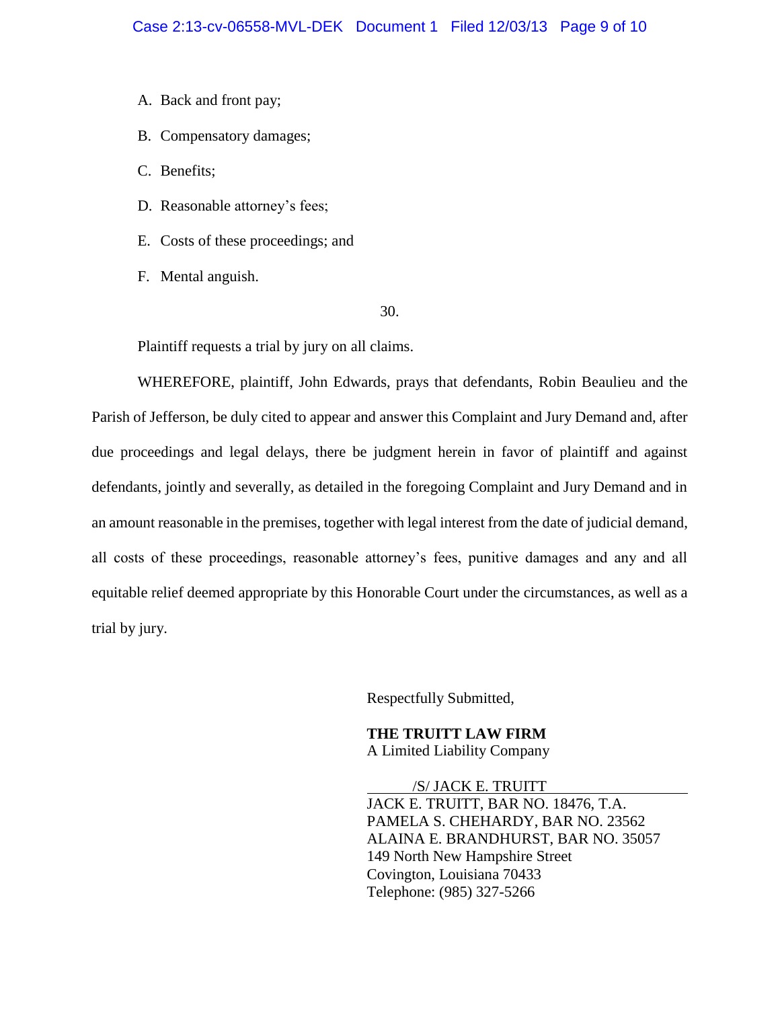- A. Back and front pay;
- B. Compensatory damages;
- C. Benefits;
- D. Reasonable attorney's fees;
- E. Costs of these proceedings; and
- F. Mental anguish.

Plaintiff requests a trial by jury on all claims.

WHEREFORE, plaintiff, John Edwards, prays that defendants, Robin Beaulieu and the Parish of Jefferson, be duly cited to appear and answer this Complaint and Jury Demand and, after due proceedings and legal delays, there be judgment herein in favor of plaintiff and against defendants, jointly and severally, as detailed in the foregoing Complaint and Jury Demand and in an amount reasonable in the premises, together with legal interest from the date of judicial demand, all costs of these proceedings, reasonable attorney's fees, punitive damages and any and all equitable relief deemed appropriate by this Honorable Court under the circumstances, as well as a trial by jury.

Respectfully Submitted,

**THE TRUITT LAW FIRM**  A Limited Liability Company

/S/ JACK E. TRUITT JACK E. TRUITT, BAR NO. 18476, T.A. PAMELA S. CHEHARDY, BAR NO. 23562 ALAINA E. BRANDHURST, BAR NO. 35057 149 North New Hampshire Street Covington, Louisiana 70433 Telephone: (985) 327-5266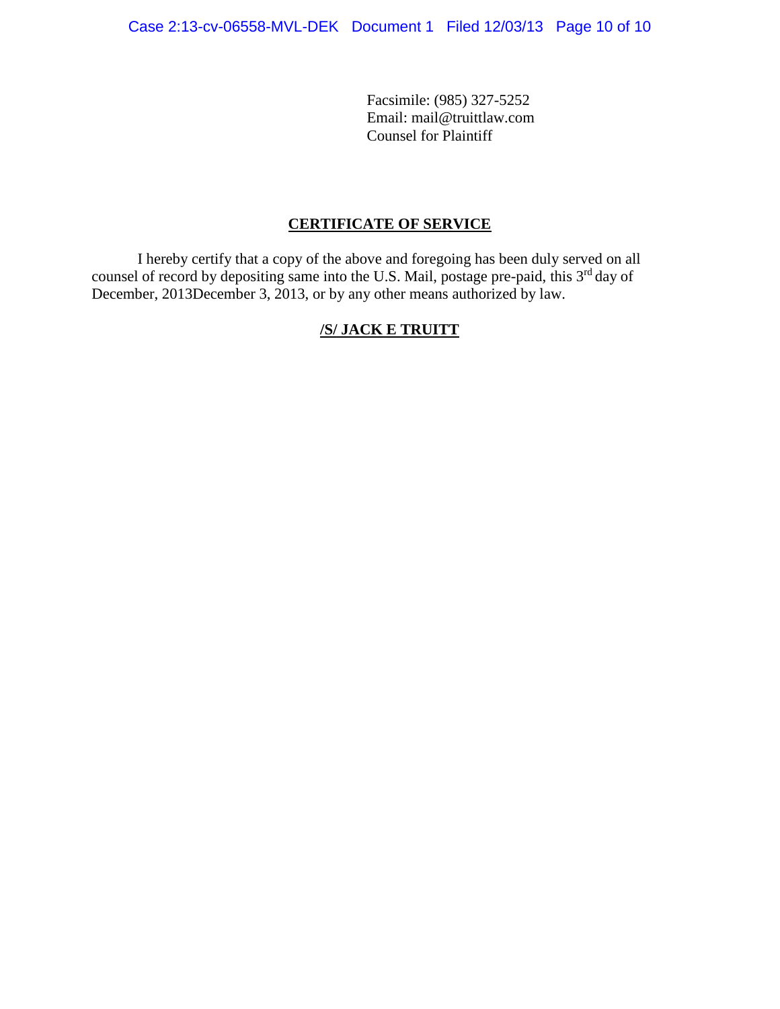Facsimile: (985) 327-5252 Email: mail@truittlaw.com Counsel for Plaintiff

# **CERTIFICATE OF SERVICE**

I hereby certify that a copy of the above and foregoing has been duly served on all counsel of record by depositing same into the U.S. Mail, postage pre-paid, this 3<sup>rd</sup> day of December, 2013December 3, 2013, or by any other means authorized by law.

# **/S/ JACK E TRUITT**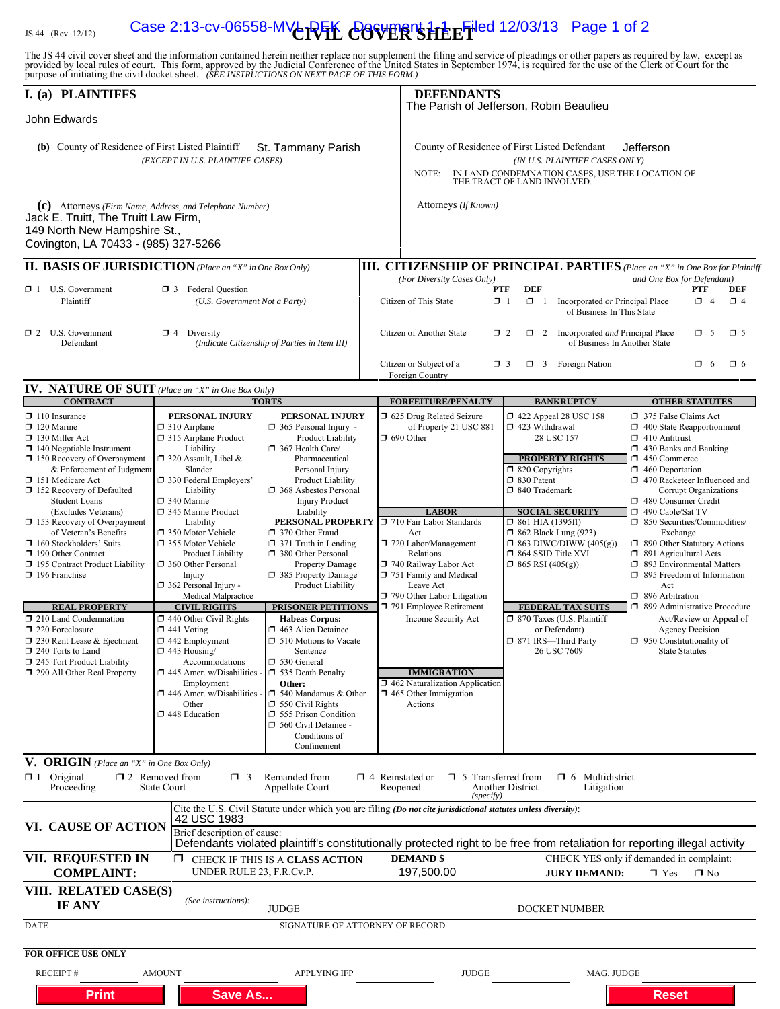# IS 44 (Rev. 12/12) Case 2:13-cv-06558-MV**LIVEK COVER'SHEET**iled 12/03/13 Page 1 of 2

The JS 44 civil cover sheet and the information contained herein neither replace nor supplement the filing and service of pleadings or other papers as required by law, except as provided by local rules of court. This form,

| I. (a) PLAINTIFFS                                                                                                                                                                                                                                                                                                                                                                                                                                                                                                                                                                                                                                                            |                                                                                                                                                                                                                                                                                                                                                                                                                                                                                                                                                                                                                              |                                                                                                                                                                                                                                                                                                                                                                                                                                                                                                                                                                                                                                                                                                               |  | <b>DEFENDANTS</b>                                                                                                                                                                                                                                                                                                                                                                                                   |                                                                                                                                                                                                                                                                                                                                                                                                                                                                    |                                                                                                                                                                                                                                                                                                                                                                                                                                                                                                                                                                                                                                             |  |  |
|------------------------------------------------------------------------------------------------------------------------------------------------------------------------------------------------------------------------------------------------------------------------------------------------------------------------------------------------------------------------------------------------------------------------------------------------------------------------------------------------------------------------------------------------------------------------------------------------------------------------------------------------------------------------------|------------------------------------------------------------------------------------------------------------------------------------------------------------------------------------------------------------------------------------------------------------------------------------------------------------------------------------------------------------------------------------------------------------------------------------------------------------------------------------------------------------------------------------------------------------------------------------------------------------------------------|---------------------------------------------------------------------------------------------------------------------------------------------------------------------------------------------------------------------------------------------------------------------------------------------------------------------------------------------------------------------------------------------------------------------------------------------------------------------------------------------------------------------------------------------------------------------------------------------------------------------------------------------------------------------------------------------------------------|--|---------------------------------------------------------------------------------------------------------------------------------------------------------------------------------------------------------------------------------------------------------------------------------------------------------------------------------------------------------------------------------------------------------------------|--------------------------------------------------------------------------------------------------------------------------------------------------------------------------------------------------------------------------------------------------------------------------------------------------------------------------------------------------------------------------------------------------------------------------------------------------------------------|---------------------------------------------------------------------------------------------------------------------------------------------------------------------------------------------------------------------------------------------------------------------------------------------------------------------------------------------------------------------------------------------------------------------------------------------------------------------------------------------------------------------------------------------------------------------------------------------------------------------------------------------|--|--|
| John Edwards                                                                                                                                                                                                                                                                                                                                                                                                                                                                                                                                                                                                                                                                 |                                                                                                                                                                                                                                                                                                                                                                                                                                                                                                                                                                                                                              |                                                                                                                                                                                                                                                                                                                                                                                                                                                                                                                                                                                                                                                                                                               |  |                                                                                                                                                                                                                                                                                                                                                                                                                     | The Parish of Jefferson, Robin Beaulieu                                                                                                                                                                                                                                                                                                                                                                                                                            |                                                                                                                                                                                                                                                                                                                                                                                                                                                                                                                                                                                                                                             |  |  |
| <b>(b)</b> County of Residence of First Listed Plaintiff                                                                                                                                                                                                                                                                                                                                                                                                                                                                                                                                                                                                                     | (EXCEPT IN U.S. PLAINTIFF CASES)                                                                                                                                                                                                                                                                                                                                                                                                                                                                                                                                                                                             | St. Tammany Parish                                                                                                                                                                                                                                                                                                                                                                                                                                                                                                                                                                                                                                                                                            |  | County of Residence of First Listed Defendant<br>Jefferson<br>(IN U.S. PLAINTIFF CASES ONLY)<br>IN LAND CONDEMNATION CASES, USE THE LOCATION OF<br>NOTE:<br>THE TRACT OF LAND INVOLVED.                                                                                                                                                                                                                             |                                                                                                                                                                                                                                                                                                                                                                                                                                                                    |                                                                                                                                                                                                                                                                                                                                                                                                                                                                                                                                                                                                                                             |  |  |
| (c) Attorneys (Firm Name, Address, and Telephone Number)<br>Jack E. Truitt, The Truitt Law Firm,<br>149 North New Hampshire St.,<br>Covington, LA 70433 - (985) 327-5266                                                                                                                                                                                                                                                                                                                                                                                                                                                                                                     |                                                                                                                                                                                                                                                                                                                                                                                                                                                                                                                                                                                                                              |                                                                                                                                                                                                                                                                                                                                                                                                                                                                                                                                                                                                                                                                                                               |  | Attorneys (If Known)                                                                                                                                                                                                                                                                                                                                                                                                |                                                                                                                                                                                                                                                                                                                                                                                                                                                                    |                                                                                                                                                                                                                                                                                                                                                                                                                                                                                                                                                                                                                                             |  |  |
| <b>II. BASIS OF JURISDICTION</b> (Place an "X" in One Box Only)                                                                                                                                                                                                                                                                                                                                                                                                                                                                                                                                                                                                              |                                                                                                                                                                                                                                                                                                                                                                                                                                                                                                                                                                                                                              |                                                                                                                                                                                                                                                                                                                                                                                                                                                                                                                                                                                                                                                                                                               |  |                                                                                                                                                                                                                                                                                                                                                                                                                     |                                                                                                                                                                                                                                                                                                                                                                                                                                                                    | <b>III. CITIZENSHIP OF PRINCIPAL PARTIES</b> (Place an "X" in One Box for Plaintiff                                                                                                                                                                                                                                                                                                                                                                                                                                                                                                                                                         |  |  |
| $\Box$ 1 U.S. Government<br>Plaintiff                                                                                                                                                                                                                                                                                                                                                                                                                                                                                                                                                                                                                                        | 3 Federal Question<br>(U.S. Government Not a Party)                                                                                                                                                                                                                                                                                                                                                                                                                                                                                                                                                                          |                                                                                                                                                                                                                                                                                                                                                                                                                                                                                                                                                                                                                                                                                                               |  | (For Diversity Cases Only)<br><b>PTF</b><br>Citizen of This State<br>$\mathbf{X}$ 1                                                                                                                                                                                                                                                                                                                                 | <b>DEF</b><br>$\boxtimes$ 1<br>Incorporated or Principal Place<br>of Business In This State                                                                                                                                                                                                                                                                                                                                                                        | and One Box for Defendant)<br>PTF<br><b>DEF</b><br>$\Box$ 4<br>$\Box$ 4                                                                                                                                                                                                                                                                                                                                                                                                                                                                                                                                                                     |  |  |
| $\Box$ 2 U.S. Government<br>$\Box$ 4 Diversity<br>Defendant<br>(Indicate Citizenship of Parties in Item III)                                                                                                                                                                                                                                                                                                                                                                                                                                                                                                                                                                 |                                                                                                                                                                                                                                                                                                                                                                                                                                                                                                                                                                                                                              |                                                                                                                                                                                                                                                                                                                                                                                                                                                                                                                                                                                                                                                                                                               |  | Citizen of Another State<br>$\Box$ 2                                                                                                                                                                                                                                                                                                                                                                                | $\Box$ 2 Incorporated <i>and</i> Principal Place<br>of Business In Another State                                                                                                                                                                                                                                                                                                                                                                                   | $\Box$ 5<br>$\Box$ 5<br>$\Box$ 6                                                                                                                                                                                                                                                                                                                                                                                                                                                                                                                                                                                                            |  |  |
|                                                                                                                                                                                                                                                                                                                                                                                                                                                                                                                                                                                                                                                                              |                                                                                                                                                                                                                                                                                                                                                                                                                                                                                                                                                                                                                              |                                                                                                                                                                                                                                                                                                                                                                                                                                                                                                                                                                                                                                                                                                               |  | Citizen or Subject of a<br>$\Box$ 3<br>Foreign Country                                                                                                                                                                                                                                                                                                                                                              | <b>1</b> 3 Foreign Nation                                                                                                                                                                                                                                                                                                                                                                                                                                          | $\Box$ 6                                                                                                                                                                                                                                                                                                                                                                                                                                                                                                                                                                                                                                    |  |  |
| <b>IV. NATURE OF SUIT</b> (Place an "X" in One Box Only)<br><b>CONTRACT</b>                                                                                                                                                                                                                                                                                                                                                                                                                                                                                                                                                                                                  |                                                                                                                                                                                                                                                                                                                                                                                                                                                                                                                                                                                                                              | <b>TORTS</b>                                                                                                                                                                                                                                                                                                                                                                                                                                                                                                                                                                                                                                                                                                  |  | <b>FORFEITURE/PENALTY</b>                                                                                                                                                                                                                                                                                                                                                                                           | <b>BANKRUPTCY</b>                                                                                                                                                                                                                                                                                                                                                                                                                                                  | <b>OTHER STATUTES</b>                                                                                                                                                                                                                                                                                                                                                                                                                                                                                                                                                                                                                       |  |  |
| $\Box$ 110 Insurance<br>$\Box$ 120 Marine<br>$\Box$ 130 Miller Act<br>$\Box$ 140 Negotiable Instrument<br>$\Box$ 150 Recovery of Overpayment<br>& Enforcement of Judgment<br>151 Medicare Act<br>□ 152 Recovery of Defaulted<br><b>Student Loans</b><br>(Excludes Veterans)<br>$\Box$ 153 Recovery of Overpayment<br>of Veteran's Benefits<br>$\Box$ 160 Stockholders' Suits<br>190 Other Contract<br>195 Contract Product Liability<br>$\Box$ 196 Franchise<br><b>REAL PROPERTY</b><br>$\Box$ 210 Land Condemnation<br>$\Box$ 220 Foreclosure<br>$\Box$ 230 Rent Lease & Ejectment<br>$\Box$ 240 Torts to Land<br>245 Tort Product Liability<br>290 All Other Real Property | PERSONAL INJURY<br>$\Box$ 310 Airplane<br>315 Airplane Product<br>Liability<br>$\Box$ 320 Assault, Libel &<br>Slander<br>□ 330 Federal Employers'<br>Liability<br>340 Marine<br>345 Marine Product<br>Liability<br>□ 350 Motor Vehicle<br>□ 355 Motor Vehicle<br><b>Product Liability</b><br>360 Other Personal<br>Injury<br>$\Box$ 362 Personal Injury -<br>Medical Malpractice<br><b>CIVIL RIGHTS</b><br>440 Other Civil Rights<br>$\Box$ 441 Voting<br>$\Box$ 442 Employment<br>$\Box$ 443 Housing/<br>Accommodations<br>445 Amer. w/Disabilities -<br>Employment<br>446 Amer. w/Disabilities -<br>Other<br>448 Education | PERSONAL INJURY<br>$\Box$ 365 Personal Injury -<br><b>Product Liability</b><br>367 Health Care/<br>Pharmaceutical<br>Personal Injury<br>Product Liability<br>368 Asbestos Personal<br><b>Injury Product</b><br>Liability<br>PERSONAL PROPERTY<br>370 Other Fraud<br>$\Box$ 371 Truth in Lending<br>380 Other Personal<br><b>Property Damage</b><br>385 Property Damage<br>Product Liability<br>PRISONER PETITIONS<br><b>Habeas Corpus:</b><br>$\Box$ 463 Alien Detainee<br>$\Box$ 510 Motions to Vacate<br>Sentence<br>□ 530 General<br>535 Death Penalty<br>Other:<br>$\Box$ 540 Mandamus & Other<br>$\Box$ 550 Civil Rights<br>555 Prison Condition<br>560 Civil Detainee -<br>Conditions of<br>Confinement |  | □ 625 Drug Related Seizure<br>of Property 21 USC 881<br>$\Box$ 690 Other<br><b>LABOR</b><br>710 Fair Labor Standards<br>Act<br>720 Labor/Management<br>Relations<br>740 Railway Labor Act<br>751 Family and Medical<br>Leave Act<br>790 Other Labor Litigation<br>791 Employee Retirement<br>Income Security Act<br><b>IMMIGRATION</b><br>462 Naturalization Application<br>$\Box$ 465 Other Immigration<br>Actions | 158 152 422 Appeal 28 USC 158<br>$\Box$ 423 Withdrawal<br>28 USC 157<br><b>PROPERTY RIGHTS</b><br>$\Box$ 820 Copyrights<br>□ 830 Patent<br>□ 840 Trademark<br><b>SOCIAL SECURITY</b><br>$\Box$ 861 HIA (1395ff)<br><b>3</b> 862 Black Lung (923)<br>$\Box$ 863 DIWC/DIWW (405(g))<br>$\Box$ 864 SSID Title XVI<br>$\Box$ 865 RSI (405(g))<br><b>FEDERAL TAX SUITS</b><br>$\Box$ 870 Taxes (U.S. Plaintiff<br>or Defendant)<br>□ 871 IRS-Third Party<br>26 USC 7609 | 375 False Claims Act<br>$\Box$ 400 State Reapportionment<br>$\Box$ 410 Antitrust<br>$\Box$ 430 Banks and Banking<br>$\Box$ 450 Commerce<br>$\Box$ 460 Deportation<br>470 Racketeer Influenced and<br>Corrupt Organizations<br>480 Consumer Credit<br>490 Cable/Sat TV<br>$\Box$ 850 Securities/Commodities/<br>Exchange<br>1 890 Other Statutory Actions<br>□ 891 Agricultural Acts<br>□ 893 Environmental Matters<br>$\Box$ 895 Freedom of Information<br>Act<br>$\Box$ 896 Arbitration<br>□ 899 Administrative Procedure<br>Act/Review or Appeal of<br><b>Agency Decision</b><br>$\Box$ 950 Constitutionality of<br><b>State Statutes</b> |  |  |
| <b>V. ORIGIN</b> (Place an "X" in One Box Only)<br>$\boxtimes$ 1 Original<br>Proceeding                                                                                                                                                                                                                                                                                                                                                                                                                                                                                                                                                                                      | $\Box$ 2 Removed from<br>$\Box$ 3<br><b>State Court</b>                                                                                                                                                                                                                                                                                                                                                                                                                                                                                                                                                                      | Remanded from<br>Appellate Court                                                                                                                                                                                                                                                                                                                                                                                                                                                                                                                                                                                                                                                                              |  | $\Box$ 4 Reinstated or<br>$\Box$ 5 Transferred from<br>Reopened<br>(specify)                                                                                                                                                                                                                                                                                                                                        | $\Box$ 6<br>Multidistrict<br>Another District<br>Litigation                                                                                                                                                                                                                                                                                                                                                                                                        |                                                                                                                                                                                                                                                                                                                                                                                                                                                                                                                                                                                                                                             |  |  |
| VI. CAUSE OF ACTION                                                                                                                                                                                                                                                                                                                                                                                                                                                                                                                                                                                                                                                          | 42 USC 1983                                                                                                                                                                                                                                                                                                                                                                                                                                                                                                                                                                                                                  |                                                                                                                                                                                                                                                                                                                                                                                                                                                                                                                                                                                                                                                                                                               |  | Cite the U.S. Civil Statute under which you are filing (Do not cite jurisdictional statutes unless diversity):                                                                                                                                                                                                                                                                                                      |                                                                                                                                                                                                                                                                                                                                                                                                                                                                    |                                                                                                                                                                                                                                                                                                                                                                                                                                                                                                                                                                                                                                             |  |  |
|                                                                                                                                                                                                                                                                                                                                                                                                                                                                                                                                                                                                                                                                              | Brief description of cause:                                                                                                                                                                                                                                                                                                                                                                                                                                                                                                                                                                                                  |                                                                                                                                                                                                                                                                                                                                                                                                                                                                                                                                                                                                                                                                                                               |  |                                                                                                                                                                                                                                                                                                                                                                                                                     |                                                                                                                                                                                                                                                                                                                                                                                                                                                                    | Defendants violated plaintiff's constitutionally protected right to be free from retaliation for reporting illegal activity                                                                                                                                                                                                                                                                                                                                                                                                                                                                                                                 |  |  |
| VII. REQUESTED IN<br><b>COMPLAINT:</b>                                                                                                                                                                                                                                                                                                                                                                                                                                                                                                                                                                                                                                       | □<br>UNDER RULE 23, F.R.Cv.P.                                                                                                                                                                                                                                                                                                                                                                                                                                                                                                                                                                                                | CHECK IF THIS IS A CLASS ACTION                                                                                                                                                                                                                                                                                                                                                                                                                                                                                                                                                                                                                                                                               |  | <b>DEMAND \$</b><br>197,500.00                                                                                                                                                                                                                                                                                                                                                                                      | <b>JURY DEMAND:</b>                                                                                                                                                                                                                                                                                                                                                                                                                                                | CHECK YES only if demanded in complaint:<br>$\times$ Yes<br>$\square$ No                                                                                                                                                                                                                                                                                                                                                                                                                                                                                                                                                                    |  |  |
| VIII. RELATED CASE(S)<br>IF ANY                                                                                                                                                                                                                                                                                                                                                                                                                                                                                                                                                                                                                                              | (See instructions):                                                                                                                                                                                                                                                                                                                                                                                                                                                                                                                                                                                                          |                                                                                                                                                                                                                                                                                                                                                                                                                                                                                                                                                                                                                                                                                                               |  |                                                                                                                                                                                                                                                                                                                                                                                                                     |                                                                                                                                                                                                                                                                                                                                                                                                                                                                    |                                                                                                                                                                                                                                                                                                                                                                                                                                                                                                                                                                                                                                             |  |  |
| <b>DATE</b>                                                                                                                                                                                                                                                                                                                                                                                                                                                                                                                                                                                                                                                                  |                                                                                                                                                                                                                                                                                                                                                                                                                                                                                                                                                                                                                              | <b>JUDGE</b><br>SIGNATURE OF ATTORNEY OF RECORD                                                                                                                                                                                                                                                                                                                                                                                                                                                                                                                                                                                                                                                               |  |                                                                                                                                                                                                                                                                                                                                                                                                                     | DOCKET NUMBER                                                                                                                                                                                                                                                                                                                                                                                                                                                      |                                                                                                                                                                                                                                                                                                                                                                                                                                                                                                                                                                                                                                             |  |  |
| FOR OFFICE USE ONLY                                                                                                                                                                                                                                                                                                                                                                                                                                                                                                                                                                                                                                                          |                                                                                                                                                                                                                                                                                                                                                                                                                                                                                                                                                                                                                              |                                                                                                                                                                                                                                                                                                                                                                                                                                                                                                                                                                                                                                                                                                               |  |                                                                                                                                                                                                                                                                                                                                                                                                                     |                                                                                                                                                                                                                                                                                                                                                                                                                                                                    |                                                                                                                                                                                                                                                                                                                                                                                                                                                                                                                                                                                                                                             |  |  |
| <b>RECEIPT#</b>                                                                                                                                                                                                                                                                                                                                                                                                                                                                                                                                                                                                                                                              | <b>AMOUNT</b>                                                                                                                                                                                                                                                                                                                                                                                                                                                                                                                                                                                                                | <b>APPLYING IFP</b>                                                                                                                                                                                                                                                                                                                                                                                                                                                                                                                                                                                                                                                                                           |  | <b>JUDGE</b>                                                                                                                                                                                                                                                                                                                                                                                                        | MAG. JUDGE                                                                                                                                                                                                                                                                                                                                                                                                                                                         |                                                                                                                                                                                                                                                                                                                                                                                                                                                                                                                                                                                                                                             |  |  |
| <b>Print</b>                                                                                                                                                                                                                                                                                                                                                                                                                                                                                                                                                                                                                                                                 | <b>Save As</b>                                                                                                                                                                                                                                                                                                                                                                                                                                                                                                                                                                                                               |                                                                                                                                                                                                                                                                                                                                                                                                                                                                                                                                                                                                                                                                                                               |  |                                                                                                                                                                                                                                                                                                                                                                                                                     |                                                                                                                                                                                                                                                                                                                                                                                                                                                                    | <b>Reset</b>                                                                                                                                                                                                                                                                                                                                                                                                                                                                                                                                                                                                                                |  |  |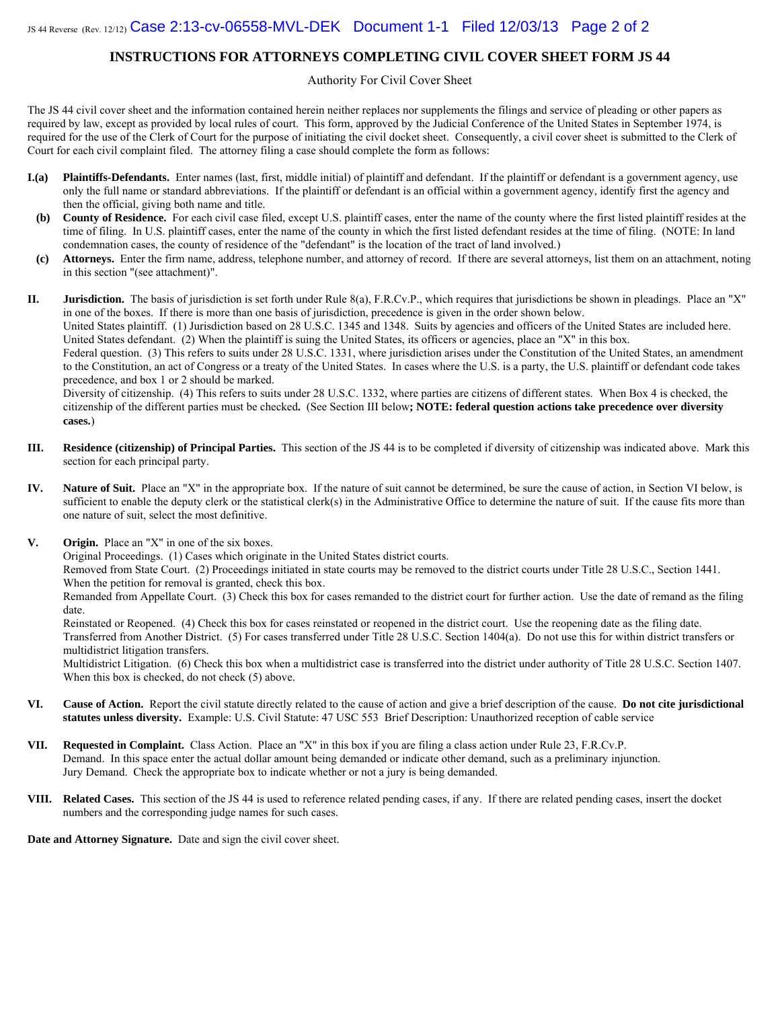## **INSTRUCTIONS FOR ATTORNEYS COMPLETING CIVIL COVER SHEET FORM JS 44**

Authority For Civil Cover Sheet

The JS 44 civil cover sheet and the information contained herein neither replaces nor supplements the filings and service of pleading or other papers as required by law, except as provided by local rules of court. This form, approved by the Judicial Conference of the United States in September 1974, is required for the use of the Clerk of Court for the purpose of initiating the civil docket sheet. Consequently, a civil cover sheet is submitted to the Clerk of Court for each civil complaint filed. The attorney filing a case should complete the form as follows:

- **I.(a) Plaintiffs-Defendants.** Enter names (last, first, middle initial) of plaintiff and defendant. If the plaintiff or defendant is a government agency, use only the full name or standard abbreviations. If the plaintiff or defendant is an official within a government agency, identify first the agency and then the official, giving both name and title.
- **(b) County of Residence.** For each civil case filed, except U.S. plaintiff cases, enter the name of the county where the first listed plaintiff resides at the time of filing. In U.S. plaintiff cases, enter the name of the county in which the first listed defendant resides at the time of filing. (NOTE: In land condemnation cases, the county of residence of the "defendant" is the location of the tract of land involved.)
- **(c) Attorneys.** Enter the firm name, address, telephone number, and attorney of record. If there are several attorneys, list them on an attachment, noting in this section "(see attachment)".

**II. Jurisdiction.** The basis of jurisdiction is set forth under Rule 8(a), F.R.Cv.P., which requires that jurisdictions be shown in pleadings. Place an "X" in one of the boxes. If there is more than one basis of jurisdiction, precedence is given in the order shown below. United States plaintiff. (1) Jurisdiction based on 28 U.S.C. 1345 and 1348. Suits by agencies and officers of the United States are included here. United States defendant. (2) When the plaintiff is suing the United States, its officers or agencies, place an "X" in this box. Federal question. (3) This refers to suits under 28 U.S.C. 1331, where jurisdiction arises under the Constitution of the United States, an amendment

to the Constitution, an act of Congress or a treaty of the United States. In cases where the U.S. is a party, the U.S. plaintiff or defendant code takes precedence, and box 1 or 2 should be marked.

Diversity of citizenship. (4) This refers to suits under 28 U.S.C. 1332, where parties are citizens of different states. When Box 4 is checked, the citizenship of the different parties must be checked**.** (See Section III below**; NOTE: federal question actions take precedence over diversity cases.**)

- **III. Residence (citizenship) of Principal Parties.** This section of the JS 44 is to be completed if diversity of citizenship was indicated above. Mark this section for each principal party.
- **IV. Nature of Suit.** Place an "X" in the appropriate box. If the nature of suit cannot be determined, be sure the cause of action, in Section VI below, is sufficient to enable the deputy clerk or the statistical clerk(s) in the Administrative Office to determine the nature of suit. If the cause fits more than one nature of suit, select the most definitive.
- **V. Origin.** Place an "X" in one of the six boxes.

Original Proceedings. (1) Cases which originate in the United States district courts.

Removed from State Court. (2) Proceedings initiated in state courts may be removed to the district courts under Title 28 U.S.C., Section 1441. When the petition for removal is granted, check this box.

Remanded from Appellate Court. (3) Check this box for cases remanded to the district court for further action. Use the date of remand as the filing date.

Reinstated or Reopened. (4) Check this box for cases reinstated or reopened in the district court. Use the reopening date as the filing date. Transferred from Another District. (5) For cases transferred under Title 28 U.S.C. Section 1404(a). Do not use this for within district transfers or multidistrict litigation transfers.

Multidistrict Litigation. (6) Check this box when a multidistrict case is transferred into the district under authority of Title 28 U.S.C. Section 1407. When this box is checked, do not check (5) above.

- **VI. Cause of Action.** Report the civil statute directly related to the cause of action and give a brief description of the cause. **Do not cite jurisdictional statutes unless diversity.** Example: U.S. Civil Statute: 47 USC 553 Brief Description: Unauthorized reception of cable service
- **VII. Requested in Complaint.** Class Action. Place an "X" in this box if you are filing a class action under Rule 23, F.R.Cv.P. Demand. In this space enter the actual dollar amount being demanded or indicate other demand, such as a preliminary injunction. Jury Demand. Check the appropriate box to indicate whether or not a jury is being demanded.
- **VIII. Related Cases.** This section of the JS 44 is used to reference related pending cases, if any. If there are related pending cases, insert the docket numbers and the corresponding judge names for such cases.

**Date and Attorney Signature.** Date and sign the civil cover sheet.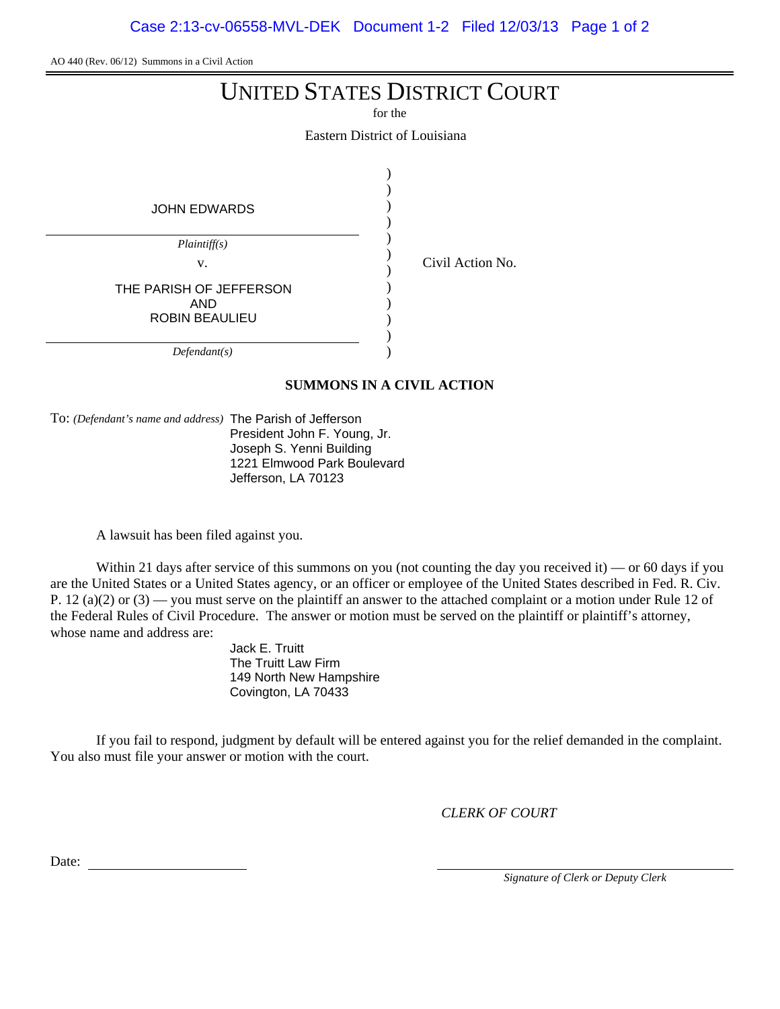Case 2:13-cv-06558-MVL-DEK Document 1-2 Filed 12/03/13 Page 1 of 2

AO 440 (Rev. 06/12) Summons in a Civil Action

# UNITED STATES DISTRICT COURT

for the

Eastern District of Louisiana

| <b>JOHN EDWARDS</b>                                     |  |
|---------------------------------------------------------|--|
| Plaintiff(s)<br>V.                                      |  |
| THE PARISH OF JEFFERSON<br>AND<br><b>ROBIN BEAULIEU</b> |  |
| Defendant(s)                                            |  |

Civil Action No.

*Defendant(s)*

## **SUMMONS IN A CIVIL ACTION**

To: *(Defendant's name and address)* The Parish of Jefferson President John F. Young, Jr. Joseph S. Yenni Building 1221 Elmwood Park Boulevard Jefferson, LA 70123

A lawsuit has been filed against you.

Within 21 days after service of this summons on you (not counting the day you received it) — or 60 days if you are the United States or a United States agency, or an officer or employee of the United States described in Fed. R. Civ. P. 12 (a)(2) or  $(3)$  — you must serve on the plaintiff an answer to the attached complaint or a motion under Rule 12 of the Federal Rules of Civil Procedure. The answer or motion must be served on the plaintiff or plaintiff's attorney, whose name and address are:

> Jack E. Truitt The Truitt Law Firm 149 North New Hampshire Covington, LA 70433

If you fail to respond, judgment by default will be entered against you for the relief demanded in the complaint. You also must file your answer or motion with the court.

*CLERK OF COURT*

Date:

*Signature of Clerk or Deputy Clerk*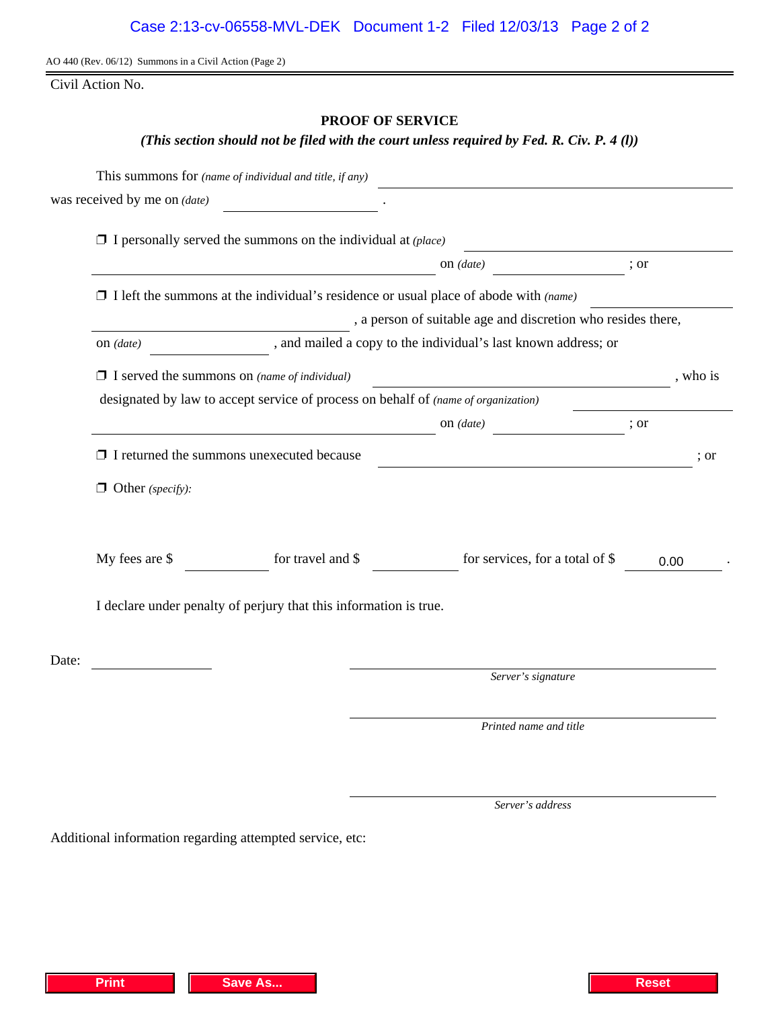AO 440 (Rev. 06/12) Summons in a Civil Action (Page 2)

Civil Action No.

# **PROOF OF SERVICE**

# *(This section should not be filed with the court unless required by Fed. R. Civ. P. 4 (l))*

|       |                                                                             | This summons for (name of individual and title, if any)                                                                                                                   |          |                                                                                                                           |      |  |  |  |  |  |
|-------|-----------------------------------------------------------------------------|---------------------------------------------------------------------------------------------------------------------------------------------------------------------------|----------|---------------------------------------------------------------------------------------------------------------------------|------|--|--|--|--|--|
|       | was received by me on <i>(date)</i>                                         |                                                                                                                                                                           |          |                                                                                                                           |      |  |  |  |  |  |
|       | $\Box$ I personally served the summons on the individual at (place)         |                                                                                                                                                                           |          |                                                                                                                           |      |  |  |  |  |  |
|       |                                                                             | ; or                                                                                                                                                                      |          |                                                                                                                           |      |  |  |  |  |  |
|       |                                                                             | $\Box$ I left the summons at the individual's residence or usual place of abode with (name)                                                                               |          |                                                                                                                           |      |  |  |  |  |  |
|       |                                                                             |                                                                                                                                                                           |          | , a person of suitable age and discretion who resides there,                                                              |      |  |  |  |  |  |
|       | and mailed a copy to the individual's last known address; or<br>on $(data)$ |                                                                                                                                                                           |          |                                                                                                                           |      |  |  |  |  |  |
|       | $\Box$ I served the summons on (name of individual)                         |                                                                                                                                                                           | , who is |                                                                                                                           |      |  |  |  |  |  |
|       |                                                                             | designated by law to accept service of process on behalf of (name of organization)                                                                                        |          | <u> Alexandria (Carlo Carlo Carlo Carlo Carlo Carlo Carlo Carlo Carlo Carlo Carlo Carlo Carlo Carlo Carlo Carlo Carlo</u> |      |  |  |  |  |  |
|       |                                                                             | on $(data)$<br>$\frac{1}{2}$ or                                                                                                                                           |          |                                                                                                                           |      |  |  |  |  |  |
|       |                                                                             | $\Box$ I returned the summons unexecuted because<br><u> 1980 - Johann Barn, mars ann an t-Amhain Aonaich an t-Aonaich an t-Aonaich an t-Aonaich an t-Aonaich an t-Aon</u> |          |                                                                                                                           |      |  |  |  |  |  |
|       | $\Box$ Other (specify):                                                     |                                                                                                                                                                           |          |                                                                                                                           |      |  |  |  |  |  |
|       | My fees are \$                                                              | for travel and \$                                                                                                                                                         |          | for services, for a total of \$                                                                                           | 0.00 |  |  |  |  |  |
|       | I declare under penalty of perjury that this information is true.           |                                                                                                                                                                           |          |                                                                                                                           |      |  |  |  |  |  |
| Date: | <u> 1990 - Jan Barbara III, politik politik (</u>                           |                                                                                                                                                                           |          |                                                                                                                           |      |  |  |  |  |  |
|       |                                                                             |                                                                                                                                                                           |          |                                                                                                                           |      |  |  |  |  |  |
|       |                                                                             |                                                                                                                                                                           |          | Printed name and title                                                                                                    |      |  |  |  |  |  |
|       |                                                                             |                                                                                                                                                                           |          |                                                                                                                           |      |  |  |  |  |  |

*Server's address*

Additional information regarding attempted service, etc: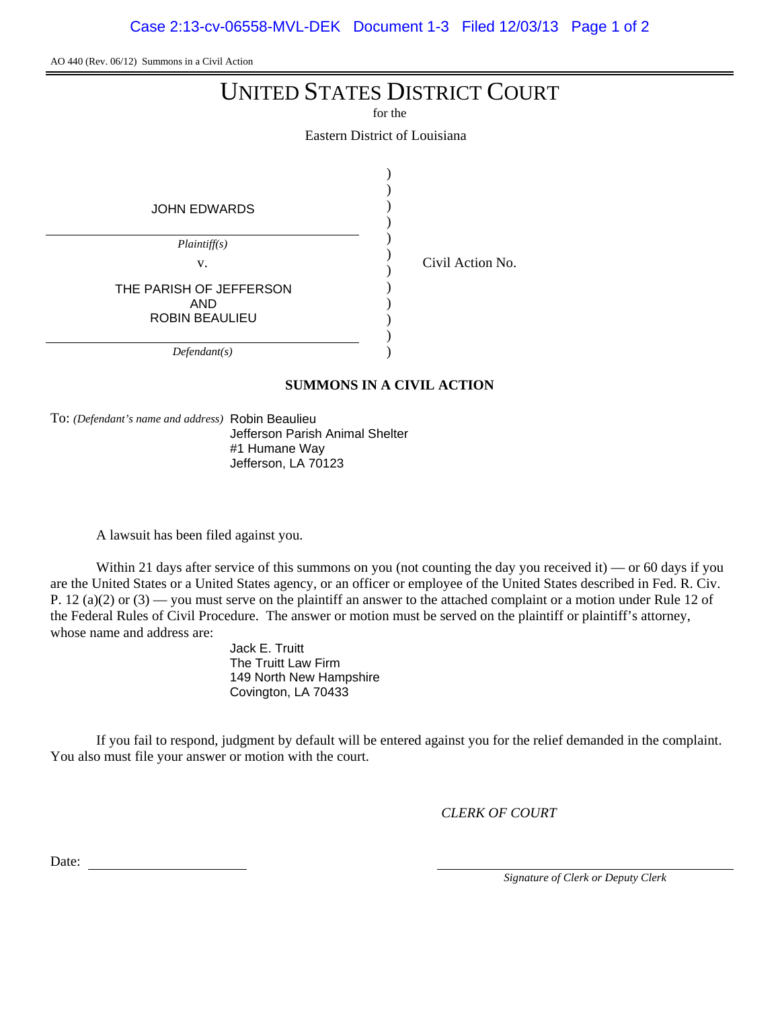Case 2:13-cv-06558-MVL-DEK Document 1-3 Filed 12/03/13 Page 1 of 2

AO 440 (Rev. 06/12) Summons in a Civil Action

# UNITED STATES DISTRICT COURT

for the

Eastern District of Louisiana

| <b>JOHN EDWARDS</b>            |  |
|--------------------------------|--|
| Plaintiff(s)                   |  |
| V.                             |  |
| THE PARISH OF JEFFERSON<br>AND |  |
| <b>ROBIN BEAULIEU</b>          |  |
| Defendant(s)                   |  |

Civil Action No.

**SUMMONS IN A CIVIL ACTION**

To: *(Defendant's name and address)* Robin Beaulieu

Jefferson Parish Animal Shelter #1 Humane Way Jefferson, LA 70123

A lawsuit has been filed against you.

Within 21 days after service of this summons on you (not counting the day you received it) — or 60 days if you are the United States or a United States agency, or an officer or employee of the United States described in Fed. R. Civ. P. 12 (a)(2) or (3) — you must serve on the plaintiff an answer to the attached complaint or a motion under Rule 12 of the Federal Rules of Civil Procedure. The answer or motion must be served on the plaintiff or plaintiff's attorney, whose name and address are:

> Jack E. Truitt The Truitt Law Firm 149 North New Hampshire Covington, LA 70433

If you fail to respond, judgment by default will be entered against you for the relief demanded in the complaint. You also must file your answer or motion with the court.

*CLERK OF COURT*

Date:

*Signature of Clerk or Deputy Clerk*